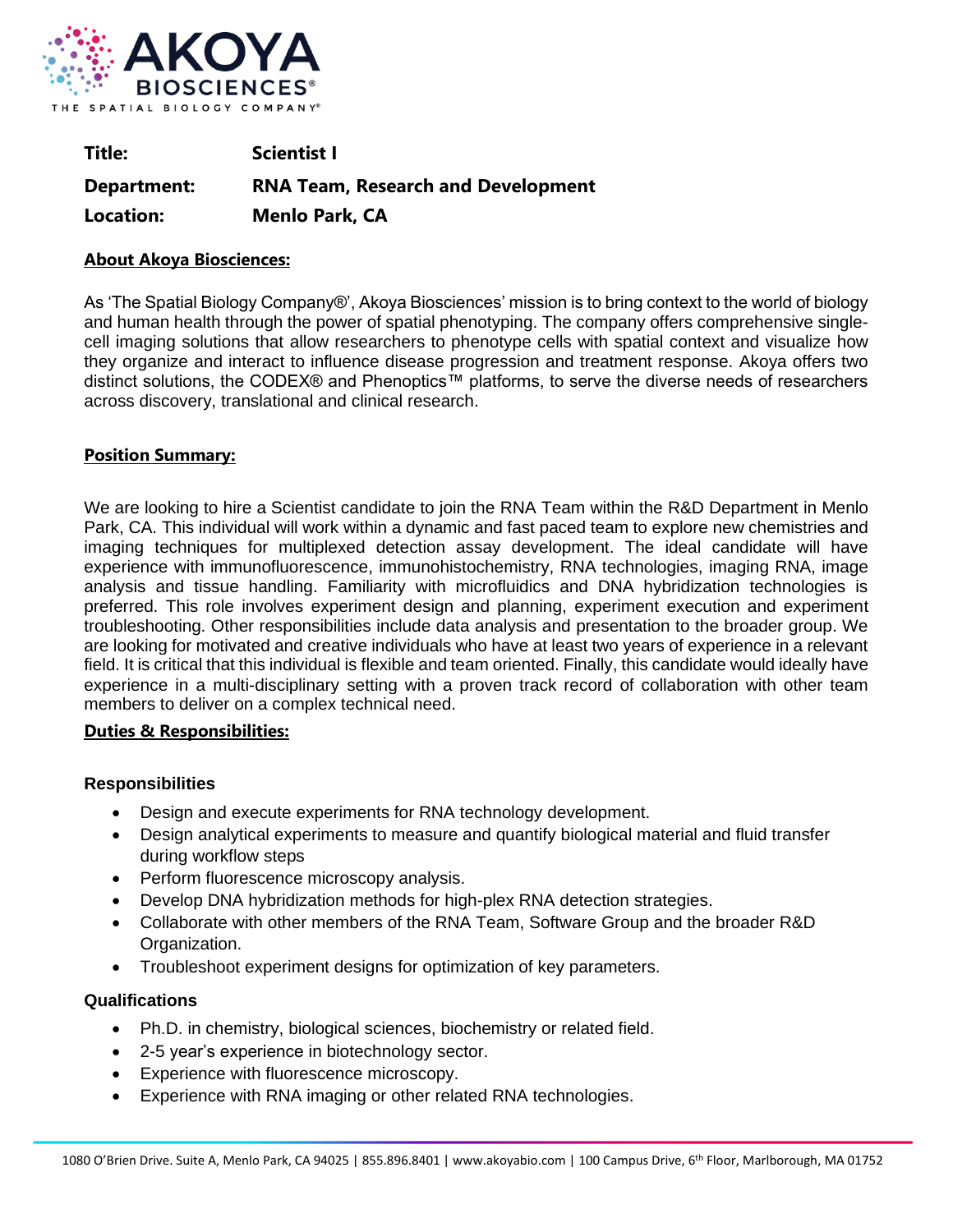

| Title:           | <b>Scientist I</b>                        |
|------------------|-------------------------------------------|
| Department:      | <b>RNA Team, Research and Development</b> |
| <b>Location:</b> | <b>Menlo Park, CA</b>                     |

# **About Akoya Biosciences:**

As 'The Spatial Biology Company®', Akoya Biosciences' mission is to bring context to the world of biology and human health through the power of spatial phenotyping. The company offers comprehensive singlecell imaging solutions that allow researchers to phenotype cells with spatial context and visualize how they organize and interact to influence disease progression and treatment response. Akoya offers two distinct solutions, the CODEX® and Phenoptics™ platforms, to serve the diverse needs of researchers across discovery, translational and clinical research.

# **Position Summary:**

We are looking to hire a Scientist candidate to join the RNA Team within the R&D Department in Menlo Park, CA. This individual will work within a dynamic and fast paced team to explore new chemistries and imaging techniques for multiplexed detection assay development. The ideal candidate will have experience with immunofluorescence, immunohistochemistry, RNA technologies, imaging RNA, image analysis and tissue handling. Familiarity with microfluidics and DNA hybridization technologies is preferred. This role involves experiment design and planning, experiment execution and experiment troubleshooting. Other responsibilities include data analysis and presentation to the broader group. We are looking for motivated and creative individuals who have at least two years of experience in a relevant field. It is critical that this individual is flexible and team oriented. Finally, this candidate would ideally have experience in a multi-disciplinary setting with a proven track record of collaboration with other team members to deliver on a complex technical need.

## **Duties & Responsibilities:**

## **Responsibilities**

- Design and execute experiments for RNA technology development.
- Design analytical experiments to measure and quantify biological material and fluid transfer during workflow steps
- Perform fluorescence microscopy analysis.
- Develop DNA hybridization methods for high-plex RNA detection strategies.
- Collaborate with other members of the RNA Team, Software Group and the broader R&D Organization.
- Troubleshoot experiment designs for optimization of key parameters.

## **Qualifications**

- Ph.D. in chemistry, biological sciences, biochemistry or related field.
- 2-5 year's experience in biotechnology sector.
- Experience with fluorescence microscopy.
- Experience with RNA imaging or other related RNA technologies.